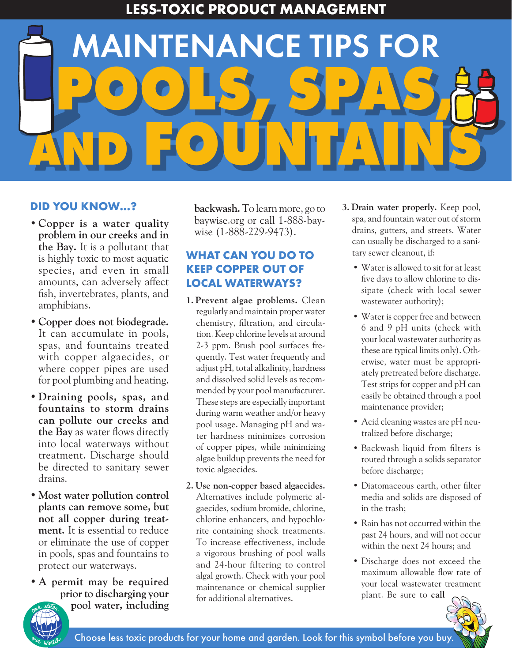**LESS-TOXIC PRODUCT MANAGEMENT**

# **POOLS, SPAS, AND FOUNTAINS** MAINTENANCE TIPS FOR

### **DID YOU KNOW…?**

- **Copper is a water quality problem in our creeks and in the Bay.** It is a pollutant that is highly toxic to most aquatic species, and even in small amounts, can adversely affect fish, invertebrates, plants, and amphibians.
- **Copper does not biodegrade.**  It can accumulate in pools, spas, and fountains treated with copper algaecides, or where copper pipes are used for pool plumbing and heating.
- **Draining pools, spas, and fountains to storm drains can pollute our creeks and the Bay** as water flows directly into local waterways without treatment. Discharge should be directed to sanitary sewer drains.
- **Most water pollution control plants can remove some, but not all copper during treatment.** It is essential to reduce or eliminate the use of copper in pools, spas and fountains to protect our waterways.
- **A permit may be required prior to discharging your pool water, including**

**backwash.** To learn more, go to baywise.org or call 1-888-baywise (1-888-229-9473).

## **WHAT CAN YOU DO TO KEEP COPPER OUT OF LOCAL WATERWAYS?**

- **1. Prevent algae problems.** Clean regularly and maintain proper water chemistry, filtration, and circulation. Keep chlorine levels at around 2-3 ppm. Brush pool surfaces frequently. Test water frequently and adjust pH, total alkalinity, hardness and dissolved solid levels as recommended by your pool manufacturer. These steps are especially important during warm weather and/or heavy pool usage. Managing pH and water hardness minimizes corrosion of copper pipes, while minimizing algae buildup prevents the need for toxic algaecides.
- **2. Use non-copper based algaecides.**  Alternatives include polymeric algaecides, sodium bromide, chlorine, chlorine enhancers, and hypochlorite containing shock treatments. To increase effectiveness, include a vigorous brushing of pool walls and 24-hour filtering to control algal growth. Check with your pool maintenance or chemical supplier for additional alternatives.
- **3. Drain water properly.** Keep pool, spa, and fountain water out of storm drains, gutters, and streets. Water can usually be discharged to a sanitary sewer cleanout, if:
	- Water is allowed to sit for at least five days to allow chlorine to dissipate (check with local sewer wastewater authority);
	- Water is copper free and between 6 and 9 pH units (check with your local wastewater authority as these are typical limits only). Otherwise, water must be appropriately pretreated before discharge. Test strips for copper and pH can easily be obtained through a pool maintenance provider;
	- Acid cleaning wastes are pH neutralized before discharge;
	- Backwash liquid from filters is routed through a solids separator before discharge;
	- Diatomaceous earth, other filter media and solids are disposed of in the trash;
	- Rain has not occurred within the past 24 hours, and will not occur within the next 24 hours; and
	- Discharge does not exceed the maximum allowable flow rate of your local wastewater treatment plant. Be sure to **call**